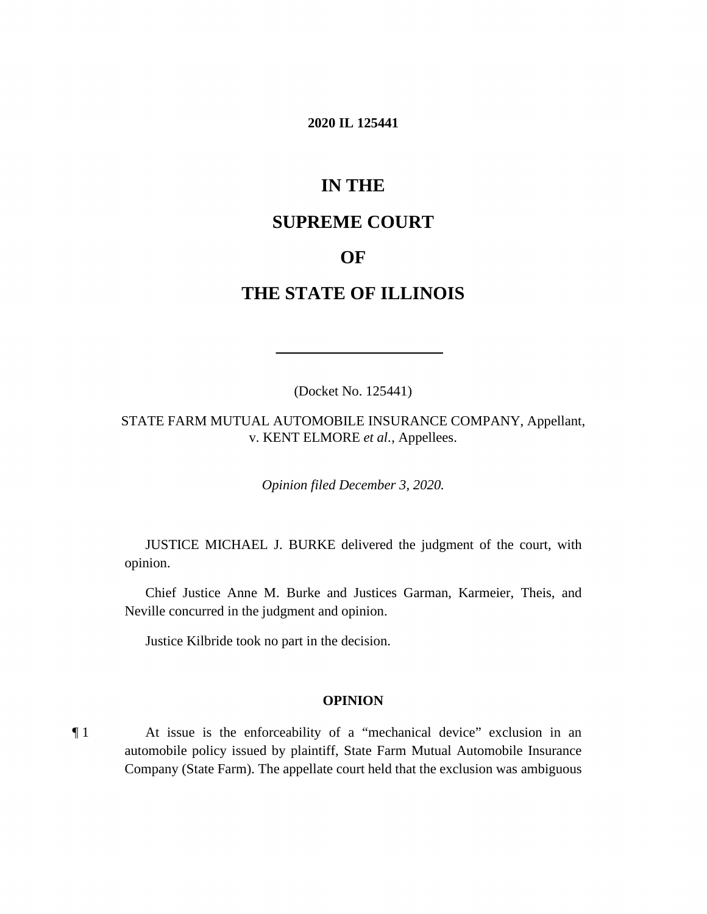#### **2020 IL 125441**

# **IN THE**

## **SUPREME COURT**

## **OF**

# **THE STATE OF ILLINOIS**

(Docket No. 125441)

STATE FARM MUTUAL AUTOMOBILE INSURANCE COMPANY, Appellant, v. KENT ELMORE *et al.*, Appellees.

*Opinion filed December 3, 2020.* 

JUSTICE MICHAEL J. BURKE delivered the judgment of the court, with opinion.

Chief Justice Anne M. Burke and Justices Garman, Karmeier, Theis, and Neville concurred in the judgment and opinion.

Justice Kilbride took no part in the decision.

#### **OPINION**

 automobile policy issued by plaintiff, State Farm Mutual Automobile Insurance Company (State Farm). The appellate court held that the exclusion was ambiguous ¶ 1 At issue is the enforceability of a "mechanical device" exclusion in an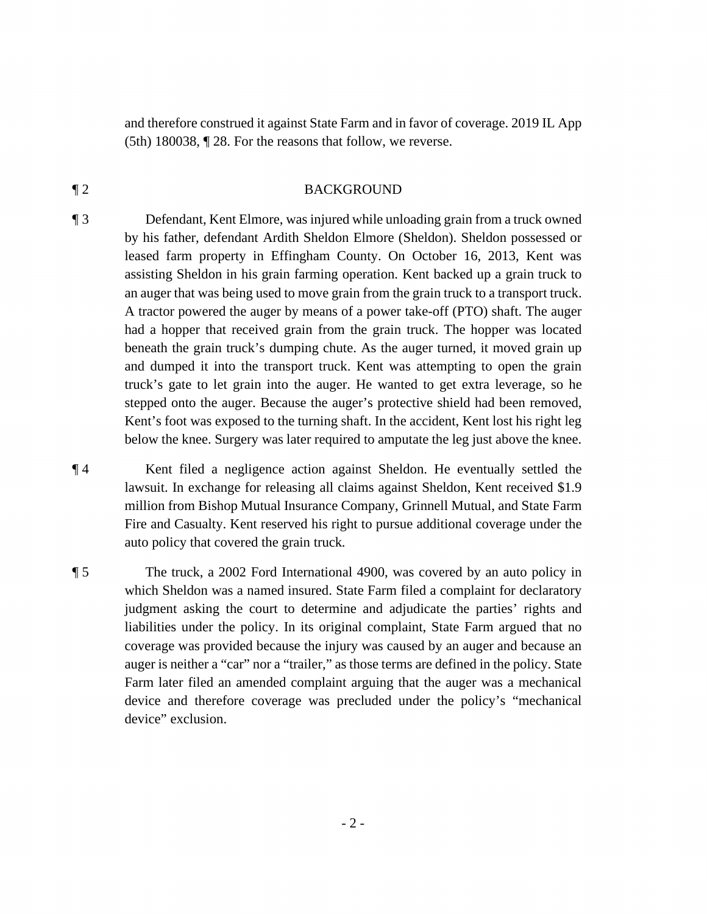and therefore construed it against State Farm and in favor of coverage. 2019 IL App (5th) 180038, ¶ 28. For the reasons that follow, we reverse.

#### ¶ 2 BACKGROUND

¶ 3 Defendant, Kent Elmore, was injured while unloading grain from a truck owned by his father, defendant Ardith Sheldon Elmore (Sheldon). Sheldon possessed or leased farm property in Effingham County. On October 16, 2013, Kent was assisting Sheldon in his grain farming operation. Kent backed up a grain truck to an auger that was being used to move grain from the grain truck to a transport truck. A tractor powered the auger by means of a power take-off (PTO) shaft. The auger had a hopper that received grain from the grain truck. The hopper was located beneath the grain truck's dumping chute. As the auger turned, it moved grain up and dumped it into the transport truck. Kent was attempting to open the grain truck's gate to let grain into the auger. He wanted to get extra leverage, so he stepped onto the auger. Because the auger's protective shield had been removed, Kent's foot was exposed to the turning shaft. In the accident, Kent lost his right leg below the knee. Surgery was later required to amputate the leg just above the knee.

 auto policy that covered the grain truck*.* ¶ 4 Kent filed a negligence action against Sheldon. He eventually settled the lawsuit. In exchange for releasing all claims against Sheldon, Kent received \$1.9 million from Bishop Mutual Insurance Company, Grinnell Mutual, and State Farm Fire and Casualty. Kent reserved his right to pursue additional coverage under the

¶ 5 The truck, a 2002 Ford International 4900, was covered by an auto policy in which Sheldon was a named insured. State Farm filed a complaint for declaratory judgment asking the court to determine and adjudicate the parties' rights and liabilities under the policy. In its original complaint, State Farm argued that no coverage was provided because the injury was caused by an auger and because an auger is neither a "car" nor a "trailer," as those terms are defined in the policy. State Farm later filed an amended complaint arguing that the auger was a mechanical device and therefore coverage was precluded under the policy's "mechanical device" exclusion.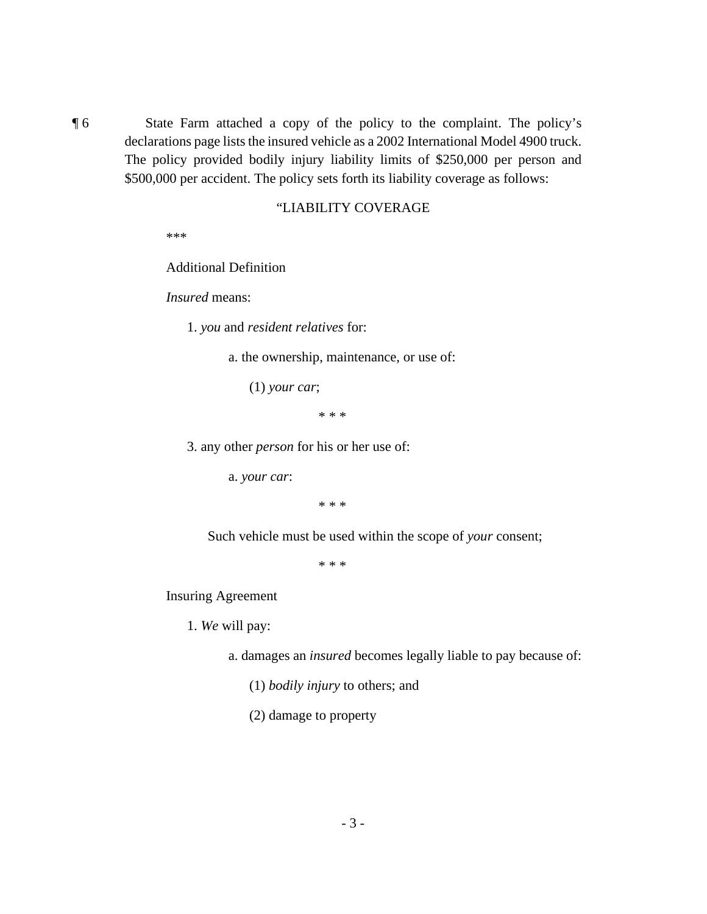\$500,000 per accident. The policy sets forth its liability coverage as follows: ¶ 6 State Farm attached a copy of the policy to the complaint. The policy's declarations page lists the insured vehicle as a 2002 International Model 4900 truck. The policy provided bodily injury liability limits of \$250,000 per person and

#### "LIABILITY COVERAGE

\*\*\*

Additional Definition

*Insured* means:

1. *you* and *resident relatives* for:

a. the ownership, maintenance, or use of:

(1) *your car*;

\* \* \*

3. any other *person* for his or her use of:

a. *your car*:

\* \* \*

Such vehicle must be used within the scope of *your* consent;

\* \* \*

Insuring Agreement

1. *We* will pay:

a. damages an *insured* becomes legally liable to pay because of:

(1) *bodily injury* to others; and

(2) damage to property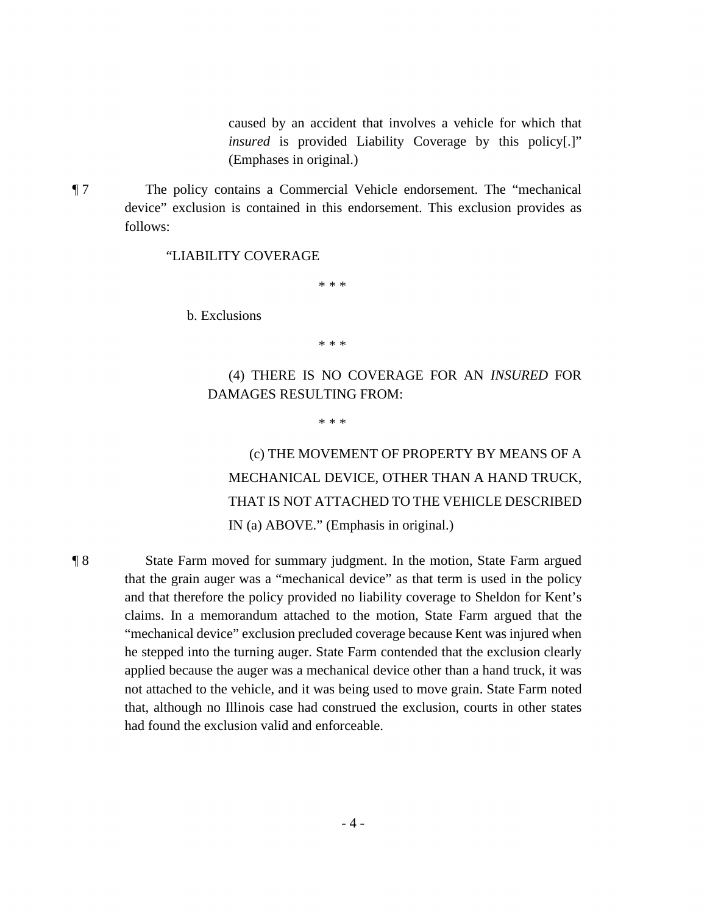caused by an accident that involves a vehicle for which that *insured* is provided Liability Coverage by this policy[.]" (Emphases in original.)

¶ 7 The policy contains a Commercial Vehicle endorsement. The "mechanical device" exclusion is contained in this endorsement. This exclusion provides as follows:

#### "LIABILITY COVERAGE

\* \* \*

b. Exclusions

\* \* \*

### (4) THERE IS NO COVERAGE FOR AN *INSURED* FOR DAMAGES RESULTING FROM:

\* \* \*

(c) THE MOVEMENT OF PROPERTY BY MEANS OF A MECHANICAL DEVICE, OTHER THAN A HAND TRUCK, THAT IS NOT ATTACHED TO THE VEHICLE DESCRIBED IN (a) ABOVE." (Emphasis in original.)

 ¶ 8 State Farm moved for summary judgment. In the motion, State Farm argued that the grain auger was a "mechanical device" as that term is used in the policy and that therefore the policy provided no liability coverage to Sheldon for Kent's claims. In a memorandum attached to the motion, State Farm argued that the "mechanical device" exclusion precluded coverage because Kent was injured when he stepped into the turning auger. State Farm contended that the exclusion clearly applied because the auger was a mechanical device other than a hand truck, it was not attached to the vehicle, and it was being used to move grain. State Farm noted that, although no Illinois case had construed the exclusion, courts in other states had found the exclusion valid and enforceable.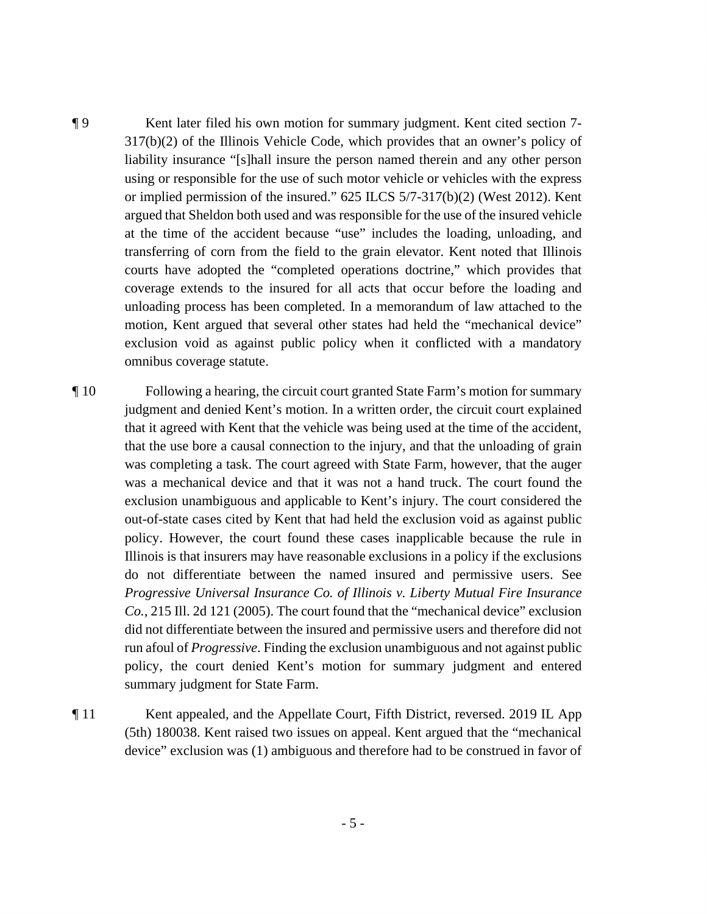317(b)(2) of the Illinois Vehicle Code, which provides that an owner's policy of using or responsible for the use of such motor vehicle or vehicles with the express or implied permission of the insured." 625 ILCS 5/7-317(b)(2) (West 2012). Kent motion, Kent argued that several other states had held the "mechanical device" ¶ 9 Kent later filed his own motion for summary judgment. Kent cited section 7 liability insurance "[s]hall insure the person named therein and any other person argued that Sheldon both used and was responsible for the use of the insured vehicle at the time of the accident because "use" includes the loading, unloading, and transferring of corn from the field to the grain elevator. Kent noted that Illinois courts have adopted the "completed operations doctrine," which provides that coverage extends to the insured for all acts that occur before the loading and unloading process has been completed. In a memorandum of law attached to the exclusion void as against public policy when it conflicted with a mandatory omnibus coverage statute.

 did not differentiate between the insured and permissive users and therefore did not run afoul of *Progressive*. Finding the exclusion unambiguous and not against public ¶ 10 Following a hearing, the circuit court granted State Farm's motion for summary judgment and denied Kent's motion. In a written order, the circuit court explained that it agreed with Kent that the vehicle was being used at the time of the accident, that the use bore a causal connection to the injury, and that the unloading of grain was completing a task. The court agreed with State Farm, however, that the auger was a mechanical device and that it was not a hand truck. The court found the exclusion unambiguous and applicable to Kent's injury. The court considered the out-of-state cases cited by Kent that had held the exclusion void as against public policy. However, the court found these cases inapplicable because the rule in Illinois is that insurers may have reasonable exclusions in a policy if the exclusions do not differentiate between the named insured and permissive users. See *Progressive Universal Insurance Co. of Illinois v. Liberty Mutual Fire Insurance Co.*, 215 Ill. 2d 121 (2005). The court found that the "mechanical device" exclusion policy, the court denied Kent's motion for summary judgment and entered summary judgment for State Farm.

 ¶ 11 Kent appealed, and the Appellate Court, Fifth District, reversed. 2019 IL App (5th) 180038. Kent raised two issues on appeal. Kent argued that the "mechanical device" exclusion was (1) ambiguous and therefore had to be construed in favor of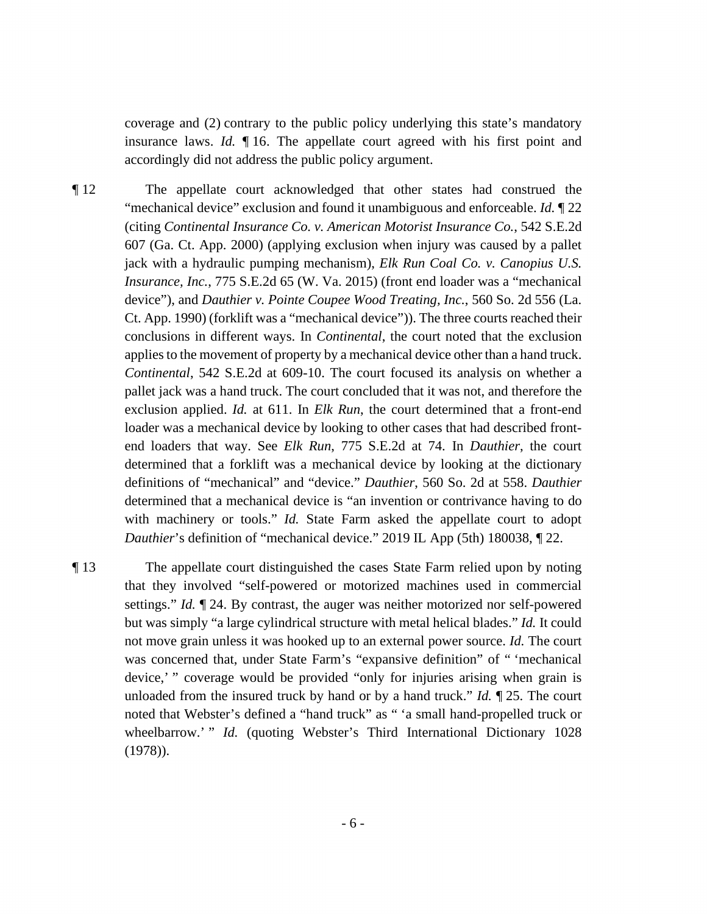insurance laws. *Id.* ¶ 16. The appellate court agreed with his first point and coverage and (2) contrary to the public policy underlying this state's mandatory accordingly did not address the public policy argument.

 conclusions in different ways. In *Continental*, the court noted that the exclusion ¶ 12 The appellate court acknowledged that other states had construed the "mechanical device" exclusion and found it unambiguous and enforceable. *Id.* ¶ 22 (citing *Continental Insurance Co. v. American Motorist Insurance Co.*, 542 S.E.2d 607 (Ga. Ct. App. 2000) (applying exclusion when injury was caused by a pallet jack with a hydraulic pumping mechanism), *Elk Run Coal Co. v. Canopius U.S. Insurance, Inc.*, 775 S.E.2d 65 (W. Va. 2015) (front end loader was a "mechanical device"), and *Dauthier v. Pointe Coupee Wood Treating, Inc.*, 560 So. 2d 556 (La. Ct. App. 1990) (forklift was a "mechanical device")). The three courts reached their applies to the movement of property by a mechanical device other than a hand truck. *Continental*, 542 S.E.2d at 609-10. The court focused its analysis on whether a pallet jack was a hand truck. The court concluded that it was not, and therefore the exclusion applied. *Id.* at 611. In *Elk Run*, the court determined that a front-end loader was a mechanical device by looking to other cases that had described frontend loaders that way. See *Elk Run*, 775 S.E.2d at 74. In *Dauthier*, the court determined that a forklift was a mechanical device by looking at the dictionary definitions of "mechanical" and "device." *Dauthier*, 560 So. 2d at 558. *Dauthier*  determined that a mechanical device is "an invention or contrivance having to do with machinery or tools." *Id.* State Farm asked the appellate court to adopt *Dauthier*'s definition of "mechanical device." 2019 IL App (5th) 180038,  $\mathbb{I}$  22.

 settings." *Id.* ¶ 24. By contrast, the auger was neither motorized nor self-powered unloaded from the insured truck by hand or by a hand truck." *Id.* ¶ 25. The court wheelbarrow.' " *Id.* (quoting Webster's Third International Dictionary 1028) ¶ 13 The appellate court distinguished the cases State Farm relied upon by noting that they involved "self-powered or motorized machines used in commercial but was simply "a large cylindrical structure with metal helical blades." *Id.* It could not move grain unless it was hooked up to an external power source. *Id.* The court was concerned that, under State Farm's "expansive definition" of " 'mechanical device,' " coverage would be provided "only for injuries arising when grain is noted that Webster's defined a "hand truck" as " 'a small hand-propelled truck or (1978)).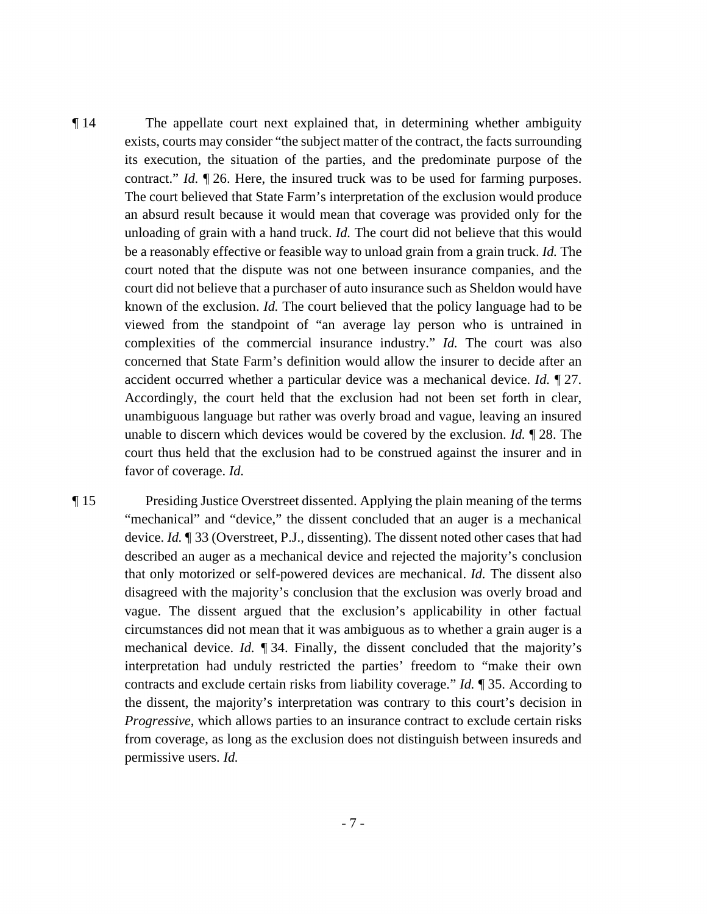contract." *Id.* ¶ 26. Here, the insured truck was to be used for farming purposes. accident occurred whether a particular device was a mechanical device. *Id.* ¶ 27. unable to discern which devices would be covered by the exclusion. *Id.* ¶ 28. The favor of coverage. *Id.* ¶ 14 The appellate court next explained that, in determining whether ambiguity exists, courts may consider "the subject matter of the contract, the facts surrounding its execution, the situation of the parties, and the predominate purpose of the The court believed that State Farm's interpretation of the exclusion would produce an absurd result because it would mean that coverage was provided only for the unloading of grain with a hand truck. *Id.* The court did not believe that this would be a reasonably effective or feasible way to unload grain from a grain truck. *Id.* The court noted that the dispute was not one between insurance companies, and the court did not believe that a purchaser of auto insurance such as Sheldon would have known of the exclusion. *Id.* The court believed that the policy language had to be viewed from the standpoint of "an average lay person who is untrained in complexities of the commercial insurance industry." *Id.* The court was also concerned that State Farm's definition would allow the insurer to decide after an Accordingly, the court held that the exclusion had not been set forth in clear, unambiguous language but rather was overly broad and vague, leaving an insured court thus held that the exclusion had to be construed against the insurer and in

 device. *Id.* ¶ 33 (Overstreet, P.J., dissenting). The dissent noted other cases that had described an auger as a mechanical device and rejected the majority's conclusion circumstances did not mean that it was ambiguous as to whether a grain auger is a mechanical device. *Id.* ¶ 34. Finally, the dissent concluded that the majority's contracts and exclude certain risks from liability coverage." *Id.* ¶ 35. According to ¶ 15 Presiding Justice Overstreet dissented. Applying the plain meaning of the terms "mechanical" and "device," the dissent concluded that an auger is a mechanical that only motorized or self-powered devices are mechanical. *Id.* The dissent also disagreed with the majority's conclusion that the exclusion was overly broad and vague. The dissent argued that the exclusion's applicability in other factual interpretation had unduly restricted the parties' freedom to "make their own the dissent, the majority's interpretation was contrary to this court's decision in *Progressive*, which allows parties to an insurance contract to exclude certain risks from coverage, as long as the exclusion does not distinguish between insureds and permissive users. *Id.*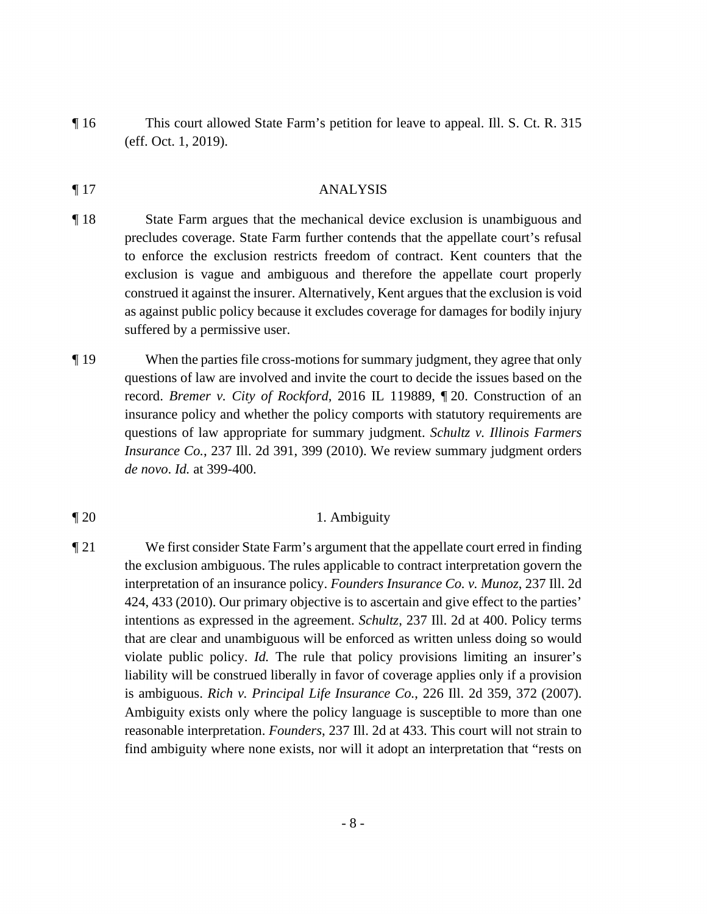¶ 16 This court allowed State Farm's petition for leave to appeal. Ill. S. Ct. R. 315 (eff. Oct. 1, 2019).

## ¶ 17 ANALYSIS

- ¶ 18 State Farm argues that the mechanical device exclusion is unambiguous and to enforce the exclusion restricts freedom of contract. Kent counters that the precludes coverage. State Farm further contends that the appellate court's refusal exclusion is vague and ambiguous and therefore the appellate court properly construed it against the insurer. Alternatively, Kent argues that the exclusion is void as against public policy because it excludes coverage for damages for bodily injury suffered by a permissive user.
- ¶ 19 When the parties file cross-motions for summary judgment, they agree that only questions of law are involved and invite the court to decide the issues based on the record. *Bremer v. City of Rockford*, 2016 IL 119889, ¶ 20. Construction of an insurance policy and whether the policy comports with statutory requirements are questions of law appropriate for summary judgment. *Schultz v. Illinois Farmers Insurance Co.*, 237 Ill. 2d 391, 399 (2010). We review summary judgment orders *de novo*. *Id.* at 399-400.
- ¶ 20 1. Ambiguity
- the exclusion ambiguous. The rules applicable to contract interpretation govern the ¶ 21 We first consider State Farm's argument that the appellate court erred in finding interpretation of an insurance policy. *Founders Insurance Co. v. Munoz*, 237 Ill. 2d 424, 433 (2010). Our primary objective is to ascertain and give effect to the parties' intentions as expressed in the agreement. *Schultz*, 237 Ill. 2d at 400. Policy terms that are clear and unambiguous will be enforced as written unless doing so would violate public policy. *Id.* The rule that policy provisions limiting an insurer's liability will be construed liberally in favor of coverage applies only if a provision is ambiguous. *Rich v. Principal Life Insurance Co.*, 226 Ill. 2d 359, 372 (2007). Ambiguity exists only where the policy language is susceptible to more than one reasonable interpretation. *Founders*, 237 Ill. 2d at 433. This court will not strain to find ambiguity where none exists, nor will it adopt an interpretation that "rests on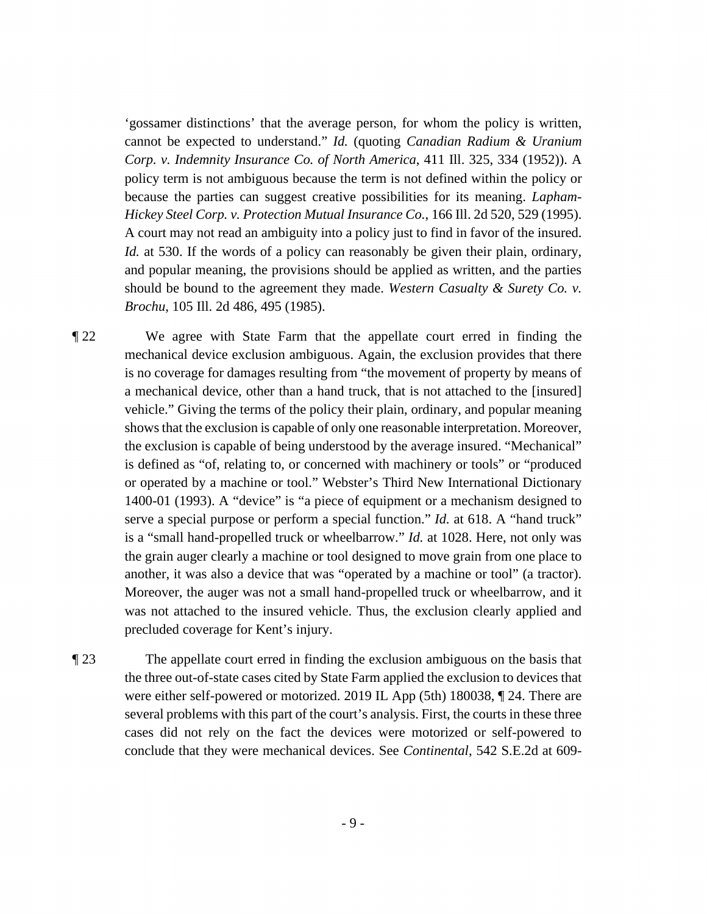cannot be expected to understand." *Id.* (quoting *Canadian Radium & Uranium*  because the parties can suggest creative possibilities for its meaning. *Lapham-*'gossamer distinctions' that the average person, for whom the policy is written, *Corp. v. Indemnity Insurance Co. of North America*, 411 Ill. 325, 334 (1952)). A policy term is not ambiguous because the term is not defined within the policy or *Hickey Steel Corp. v. Protection Mutual Insurance Co.*, 166 Ill. 2d 520, 529 (1995). A court may not read an ambiguity into a policy just to find in favor of the insured. *Id.* at 530. If the words of a policy can reasonably be given their plain, ordinary, and popular meaning, the provisions should be applied as written, and the parties should be bound to the agreement they made. *Western Casualty & Surety Co. v. Brochu*, 105 Ill. 2d 486, 495 (1985).

 is no coverage for damages resulting from "the movement of property by means of another, it was also a device that was "operated by a machine or tool" (a tractor). ¶ 22 We agree with State Farm that the appellate court erred in finding the mechanical device exclusion ambiguous. Again, the exclusion provides that there a mechanical device, other than a hand truck, that is not attached to the [insured] vehicle." Giving the terms of the policy their plain, ordinary, and popular meaning shows that the exclusion is capable of only one reasonable interpretation. Moreover, the exclusion is capable of being understood by the average insured. "Mechanical" is defined as "of, relating to, or concerned with machinery or tools" or "produced or operated by a machine or tool." Webster's Third New International Dictionary 1400-01 (1993). A "device" is "a piece of equipment or a mechanism designed to serve a special purpose or perform a special function." *Id.* at 618. A "hand truck" is a "small hand-propelled truck or wheelbarrow." *Id.* at 1028. Here, not only was the grain auger clearly a machine or tool designed to move grain from one place to Moreover, the auger was not a small hand-propelled truck or wheelbarrow, and it was not attached to the insured vehicle. Thus, the exclusion clearly applied and precluded coverage for Kent's injury.

¶ 23 The appellate court erred in finding the exclusion ambiguous on the basis that the three out-of-state cases cited by State Farm applied the exclusion to devices that were either self-powered or motorized. 2019 IL App (5th) 180038, ¶ 24. There are several problems with this part of the court's analysis. First, the courts in these three cases did not rely on the fact the devices were motorized or self-powered to conclude that they were mechanical devices. See *Continental*, 542 S.E.2d at 609-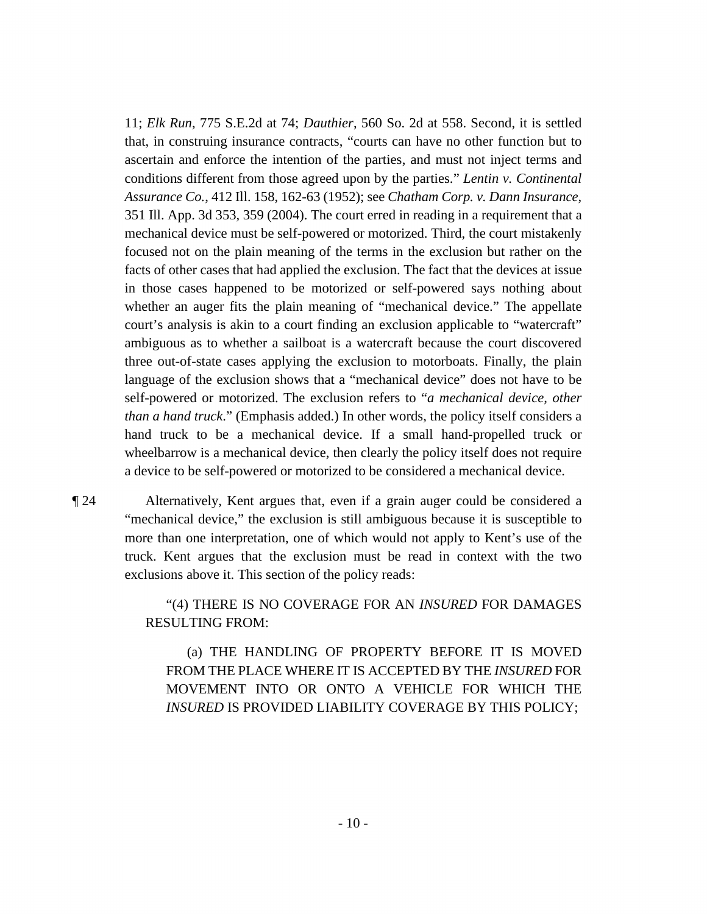facts of other cases that had applied the exclusion. The fact that the devices at issue hand truck to be a mechanical device. If a small hand-propelled truck or 11; *Elk Run*, 775 S.E.2d at 74; *Dauthier*, 560 So. 2d at 558. Second, it is settled that, in construing insurance contracts, "courts can have no other function but to ascertain and enforce the intention of the parties, and must not inject terms and conditions different from those agreed upon by the parties." *Lentin v. Continental Assurance Co.*, 412 Ill. 158, 162-63 (1952); see *Chatham Corp. v. Dann Insurance*, 351 Ill. App. 3d 353, 359 (2004). The court erred in reading in a requirement that a mechanical device must be self-powered or motorized. Third, the court mistakenly focused not on the plain meaning of the terms in the exclusion but rather on the in those cases happened to be motorized or self-powered says nothing about whether an auger fits the plain meaning of "mechanical device." The appellate court's analysis is akin to a court finding an exclusion applicable to "watercraft" ambiguous as to whether a sailboat is a watercraft because the court discovered three out-of-state cases applying the exclusion to motorboats. Finally, the plain language of the exclusion shows that a "mechanical device" does not have to be self-powered or motorized. The exclusion refers to "*a mechanical device, other than a hand truck*." (Emphasis added.) In other words, the policy itself considers a wheelbarrow is a mechanical device, then clearly the policy itself does not require a device to be self-powered or motorized to be considered a mechanical device.

¶ 24 Alternatively, Kent argues that, even if a grain auger could be considered a "mechanical device," the exclusion is still ambiguous because it is susceptible to more than one interpretation, one of which would not apply to Kent's use of the truck. Kent argues that the exclusion must be read in context with the two exclusions above it. This section of the policy reads:

> "(4) THERE IS NO COVERAGE FOR AN *INSURED* FOR DAMAGES RESULTING FROM:

(a) THE HANDLING OF PROPERTY BEFORE IT IS MOVED FROM THE PLACE WHERE IT IS ACCEPTED BY THE *INSURED* FOR MOVEMENT INTO OR ONTO A VEHICLE FOR WHICH THE *INSURED* IS PROVIDED LIABILITY COVERAGE BY THIS POLICY;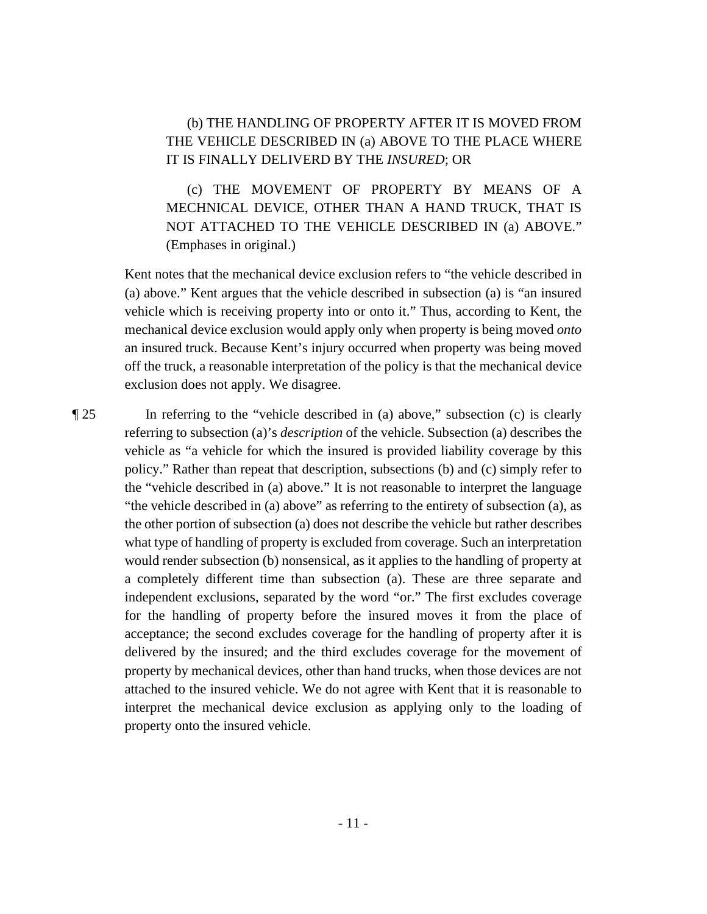## (b) THE HANDLING OF PROPERTY AFTER IT IS MOVED FROM THE VEHICLE DESCRIBED IN (a) ABOVE TO THE PLACE WHERE IT IS FINALLY DELIVERD BY THE *INSURED*; OR

 MECHNICAL DEVICE, OTHER THAN A HAND TRUCK, THAT IS (c) THE MOVEMENT OF PROPERTY BY MEANS OF A NOT ATTACHED TO THE VEHICLE DESCRIBED IN (a) ABOVE." (Emphases in original.)

Kent notes that the mechanical device exclusion refers to "the vehicle described in (a) above." Kent argues that the vehicle described in subsection (a) is "an insured vehicle which is receiving property into or onto it." Thus, according to Kent, the mechanical device exclusion would apply only when property is being moved *onto*  an insured truck. Because Kent's injury occurred when property was being moved off the truck, a reasonable interpretation of the policy is that the mechanical device exclusion does not apply. We disagree.

 "the vehicle described in (a) above" as referring to the entirety of subsection (a), as interpret the mechanical device exclusion as applying only to the loading of ¶ 25 In referring to the "vehicle described in (a) above," subsection (c) is clearly referring to subsection (a)'s *description* of the vehicle. Subsection (a) describes the vehicle as "a vehicle for which the insured is provided liability coverage by this policy." Rather than repeat that description, subsections (b) and (c) simply refer to the "vehicle described in (a) above." It is not reasonable to interpret the language the other portion of subsection (a) does not describe the vehicle but rather describes what type of handling of property is excluded from coverage. Such an interpretation would render subsection (b) nonsensical, as it applies to the handling of property at a completely different time than subsection (a). These are three separate and independent exclusions, separated by the word "or." The first excludes coverage for the handling of property before the insured moves it from the place of acceptance; the second excludes coverage for the handling of property after it is delivered by the insured; and the third excludes coverage for the movement of property by mechanical devices, other than hand trucks, when those devices are not attached to the insured vehicle. We do not agree with Kent that it is reasonable to property onto the insured vehicle.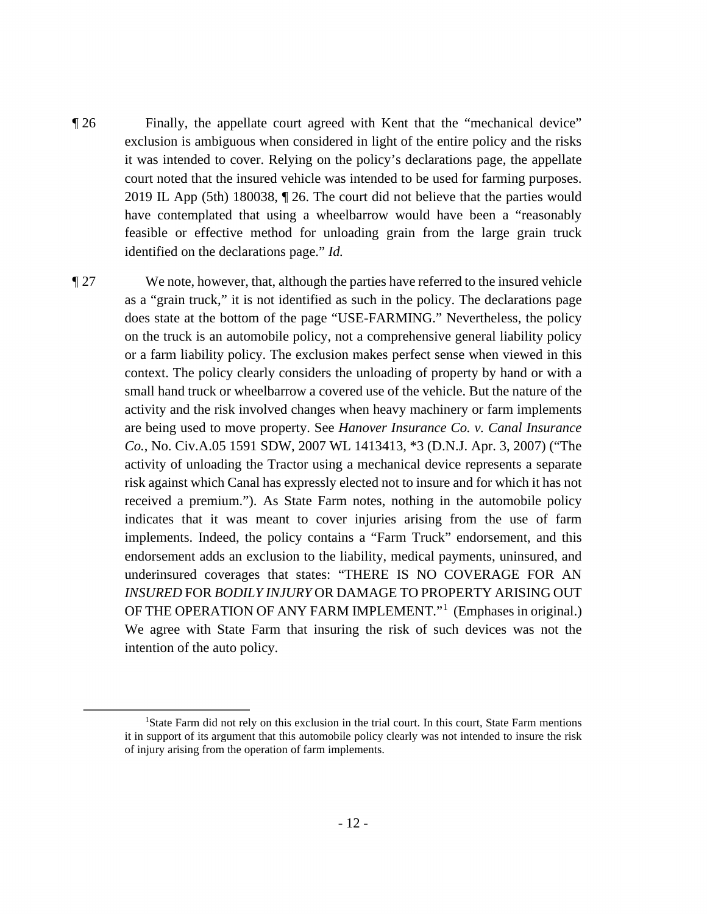identified on the declarations page." *Id.* ¶ 26 Finally, the appellate court agreed with Kent that the "mechanical device" exclusion is ambiguous when considered in light of the entire policy and the risks it was intended to cover. Relying on the policy's declarations page, the appellate court noted that the insured vehicle was intended to be used for farming purposes. 2019 IL App (5th) 180038, ¶ 26. The court did not believe that the parties would have contemplated that using a wheelbarrow would have been a "reasonably feasible or effective method for unloading grain from the large grain truck

 or a farm liability policy. The exclusion makes perfect sense when viewed in this risk against which Canal has expressly elected not to insure and for which it has not We agree with State Farm that insuring the risk of such devices was not the ¶ 27 We note, however, that, although the parties have referred to the insured vehicle as a "grain truck," it is not identified as such in the policy. The declarations page does state at the bottom of the page "USE-FARMING." Nevertheless, the policy on the truck is an automobile policy, not a comprehensive general liability policy context. The policy clearly considers the unloading of property by hand or with a small hand truck or wheelbarrow a covered use of the vehicle. But the nature of the activity and the risk involved changes when heavy machinery or farm implements are being used to move property. See *Hanover Insurance Co. v. Canal Insurance Co.*, No. [Civ.A.05](https://Civ.A.05) 1591 SDW, 2007 WL 1413413, \*3 (D.N.J. Apr. 3, 2007) ("The activity of unloading the Tractor using a mechanical device represents a separate received a premium."). As State Farm notes, nothing in the automobile policy indicates that it was meant to cover injuries arising from the use of farm implements. Indeed, the policy contains a "Farm Truck" endorsement, and this endorsement adds an exclusion to the liability, medical payments, uninsured, and underinsured coverages that states: "THERE IS NO COVERAGE FOR AN *INSURED* FOR *BODILY INJURY* OR DAMAGE TO PROPERTY ARISING OUT OF THE OPERATION OF ANY FARM IMPLEMENT."<sup>1</sup> (Emphases in original.) intention of the auto policy.

<sup>&</sup>lt;sup>1</sup>State Farm did not rely on this exclusion in the trial court. In this court, State Farm mentions it in support of its argument that this automobile policy clearly was not intended to insure the risk of injury arising from the operation of farm implements.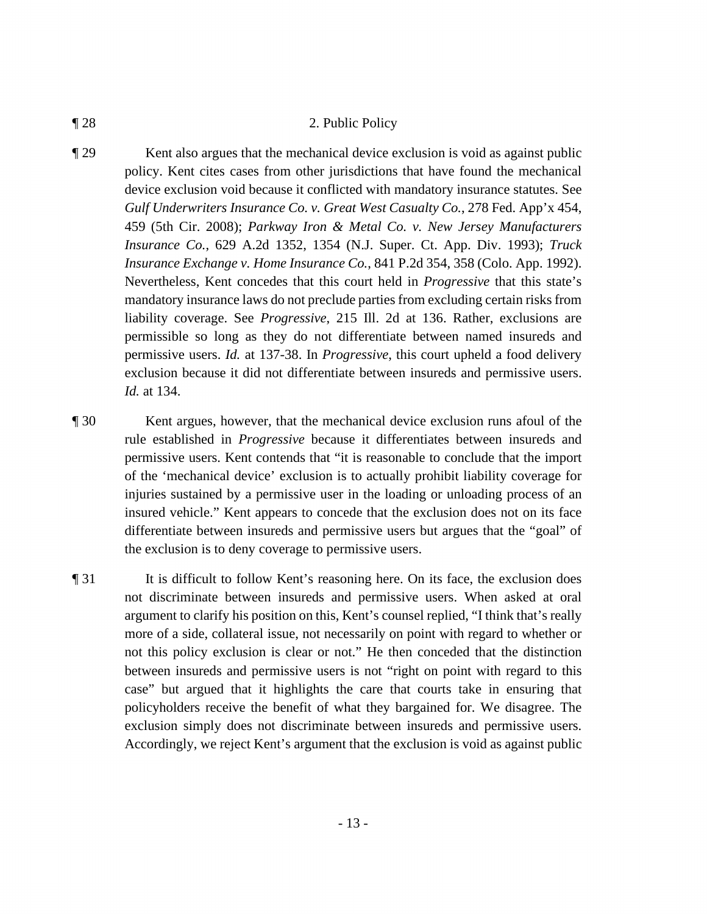#### ¶ 28 2. Public Policy

¶ 29 Kent also argues that the mechanical device exclusion is void as against public policy. Kent cites cases from other jurisdictions that have found the mechanical device exclusion void because it conflicted with mandatory insurance statutes. See *Gulf Underwriters Insurance Co. v. Great West Casualty Co.*, 278 Fed. App'x 454, 459 (5th Cir. 2008); *Parkway Iron & Metal Co. v. New Jersey Manufacturers Insurance Co.*, 629 A.2d 1352, 1354 (N.J. Super. Ct. App. Div. 1993); *Truck Insurance Exchange v. Home Insurance Co.*, 841 P.2d 354, 358 (Colo. App. 1992). Nevertheless, Kent concedes that this court held in *Progressive* that this state's mandatory insurance laws do not preclude parties from excluding certain risks from liability coverage. See *Progressive*, 215 Ill. 2d at 136. Rather, exclusions are permissible so long as they do not differentiate between named insureds and permissive users. *Id.* at 137-38. In *Progressive*, this court upheld a food delivery exclusion because it did not differentiate between insureds and permissive users. *Id.* at 134.

¶ 30 Kent argues, however, that the mechanical device exclusion runs afoul of the rule established in *Progressive* because it differentiates between insureds and permissive users. Kent contends that "it is reasonable to conclude that the import of the 'mechanical device' exclusion is to actually prohibit liability coverage for injuries sustained by a permissive user in the loading or unloading process of an insured vehicle." Kent appears to concede that the exclusion does not on its face differentiate between insureds and permissive users but argues that the "goal" of the exclusion is to deny coverage to permissive users.

¶ 31 It is difficult to follow Kent's reasoning here. On its face, the exclusion does not discriminate between insureds and permissive users. When asked at oral argument to clarify his position on this, Kent's counsel replied, "I think that's really more of a side, collateral issue, not necessarily on point with regard to whether or not this policy exclusion is clear or not." He then conceded that the distinction between insureds and permissive users is not "right on point with regard to this case" but argued that it highlights the care that courts take in ensuring that policyholders receive the benefit of what they bargained for. We disagree. The exclusion simply does not discriminate between insureds and permissive users. Accordingly, we reject Kent's argument that the exclusion is void as against public